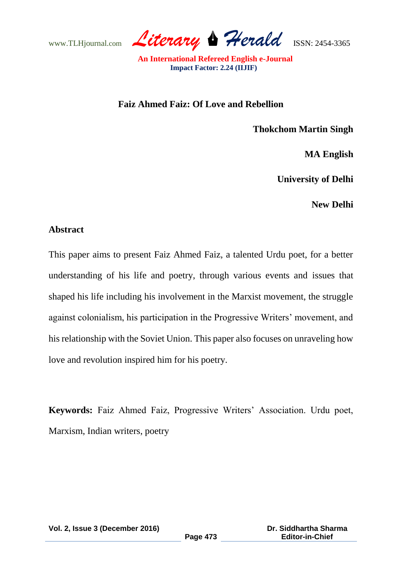www.TLHjournal.com **Literary A Herald** ISSN: 2454-3365

**Faiz Ahmed Faiz: Of Love and Rebellion**

**Thokchom Martin Singh**

**MA English**

**University of Delhi**

**New Delhi**

## **Abstract**

This paper aims to present Faiz Ahmed Faiz, a talented Urdu poet, for a better understanding of his life and poetry, through various events and issues that shaped his life including his involvement in the Marxist movement, the struggle against colonialism, his participation in the Progressive Writers" movement, and his relationship with the Soviet Union. This paper also focuses on unraveling how love and revolution inspired him for his poetry.

**Keywords:** Faiz Ahmed Faiz, Progressive Writers" Association. Urdu poet, Marxism, Indian writers, poetry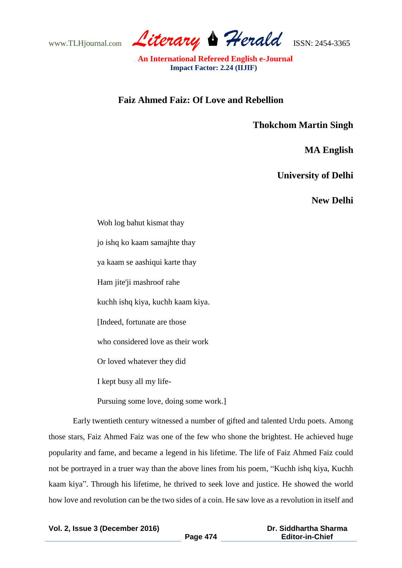www.TLHjournal.com **Literary G Herald** ISSN: 2454-3365

## **Faiz Ahmed Faiz: Of Love and Rebellion**

**Thokchom Martin Singh**

**MA English**

**University of Delhi**

**New Delhi**

Woh log bahut kismat thay jo ishq ko kaam samajhte thay ya kaam se aashiqui karte thay Ham jite'ji mashroof rahe kuchh ishq kiya, kuchh kaam kiya. [Indeed, fortunate are those who considered love as their work Or loved whatever they did I kept busy all my life-

Pursuing some love, doing some work.]

Early twentieth century witnessed a number of gifted and talented Urdu poets. Among those stars, Faiz Ahmed Faiz was one of the few who shone the brightest. He achieved huge popularity and fame, and became a legend in his lifetime. The life of Faiz Ahmed Faiz could not be portrayed in a truer way than the above lines from his poem, "Kuchh ishq kiya, Kuchh kaam kiya". Through his lifetime, he thrived to seek love and justice. He showed the world how love and revolution can be the two sides of a coin. He saw love as a revolution in itself and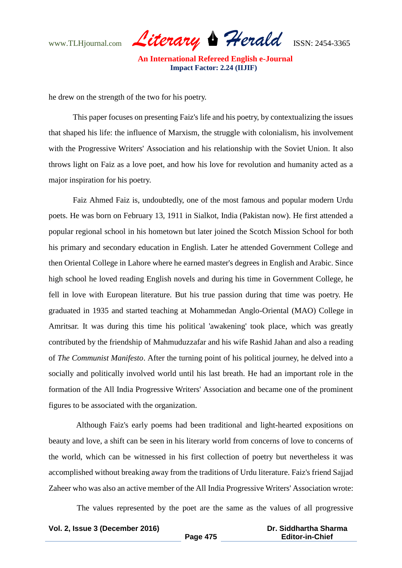www.TLHjournal.com **Literary Herald** ISSN: 2454-3365

he drew on the strength of the two for his poetry.

This paper focuses on presenting Faiz's life and his poetry, by contextualizing the issues that shaped his life: the influence of Marxism, the struggle with colonialism, his involvement with the Progressive Writers' Association and his relationship with the Soviet Union. It also throws light on Faiz as a love poet, and how his love for revolution and humanity acted as a major inspiration for his poetry.

Faiz Ahmed Faiz is, undoubtedly, one of the most famous and popular modern Urdu poets. He was born on February 13, 1911 in Sialkot, India (Pakistan now). He first attended a popular regional school in his hometown but later joined the Scotch Mission School for both his primary and secondary education in English. Later he attended Government College and then Oriental College in Lahore where he earned master's degrees in English and Arabic. Since high school he loved reading English novels and during his time in Government College, he fell in love with European literature. But his true passion during that time was poetry. He graduated in 1935 and started teaching at Mohammedan Anglo-Oriental (MAO) College in Amritsar. It was during this time his political 'awakening' took place, which was greatly contributed by the friendship of Mahmuduzzafar and his wife Rashid Jahan and also a reading of *The Communist Manifesto*. After the turning point of his political journey, he delved into a socially and politically involved world until his last breath. He had an important role in the formation of the All India Progressive Writers' Association and became one of the prominent figures to be associated with the organization.

Although Faiz's early poems had been traditional and light-hearted expositions on beauty and love, a shift can be seen in his literary world from concerns of love to concerns of the world, which can be witnessed in his first collection of poetry but nevertheless it was accomplished without breaking away from the traditions of Urdu literature. Faiz's friend Sajjad Zaheer who was also an active member of the All India Progressive Writers' Association wrote:

The values represented by the poet are the same as the values of all progressive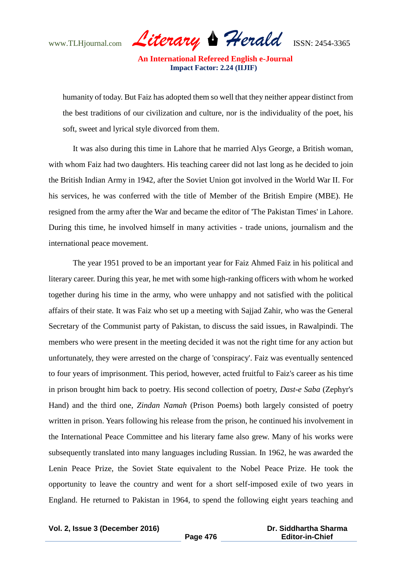www.TLHjournal.com **Literary Herald** ISSN: 2454-3365

humanity of today. But Faiz has adopted them so well that they neither appear distinct from the best traditions of our civilization and culture, nor is the individuality of the poet, his soft, sweet and lyrical style divorced from them.

It was also during this time in Lahore that he married Alys George, a British woman, with whom Faiz had two daughters. His teaching career did not last long as he decided to join the British Indian Army in 1942, after the Soviet Union got involved in the World War II. For his services, he was conferred with the title of Member of the British Empire (MBE). He resigned from the army after the War and became the editor of 'The Pakistan Times' in Lahore. During this time, he involved himself in many activities - trade unions, journalism and the international peace movement.

The year 1951 proved to be an important year for Faiz Ahmed Faiz in his political and literary career. During this year, he met with some high-ranking officers with whom he worked together during his time in the army, who were unhappy and not satisfied with the political affairs of their state. It was Faiz who set up a meeting with Sajjad Zahir, who was the General Secretary of the Communist party of Pakistan, to discuss the said issues, in Rawalpindi. The members who were present in the meeting decided it was not the right time for any action but unfortunately, they were arrested on the charge of 'conspiracy'. Faiz was eventually sentenced to four years of imprisonment. This period, however, acted fruitful to Faiz's career as his time in prison brought him back to poetry. His second collection of poetry, *Dast-e Saba* (Zephyr's Hand) and the third one, *Zindan Namah* (Prison Poems) both largely consisted of poetry written in prison. Years following his release from the prison, he continued his involvement in the International Peace Committee and his literary fame also grew. Many of his works were subsequently translated into many languages including Russian. In 1962, he was awarded the Lenin Peace Prize, the Soviet State equivalent to the Nobel Peace Prize. He took the opportunity to leave the country and went for a short self-imposed exile of two years in England. He returned to Pakistan in 1964, to spend the following eight years teaching and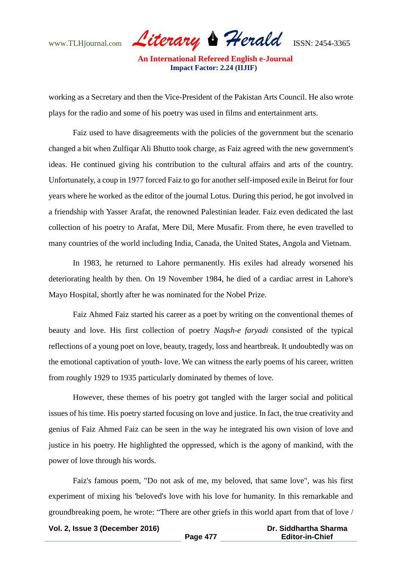www.TLHjournal.com **Literary Herald** ISSN: 2454-3365

working as a Secretary and then the Vice-President of the Pakistan Arts Council. He also wrote plays for the radio and some of his poetry was used in films and entertainment arts.

Faiz used to have disagreements with the policies of the government but the scenario changed a bit when Zulfiqar Ali Bhutto took charge, as Faiz agreed with the new government's ideas. He continued giving his contribution to the cultural affairs and arts of the country. Unfortunately, a coup in 1977 forced Faiz to go for another self-imposed exile in Beirut for four years where he worked as the editor of the journal Lotus. During this period, he got involved in a friendship with Yasser Arafat, the renowned Palestinian leader. Faiz even dedicated the last collection of his poetry to Arafat, Mere Dil, Mere Musafir. From there, he even travelled to many countries of the world including India, Canada, the United States, Angola and Vietnam.

In 1983, he returned to Lahore permanently. His exiles had already worsened his deteriorating health by then. On 19 November 1984, he died of a cardiac arrest in Lahore's Mayo Hospital, shortly after he was nominated for the Nobel Prize.

Faiz Ahmed Faiz started his career as a poet by writing on the conventional themes of beauty and love. His first collection of poetry *Naqsh-e faryadi* consisted of the typical reflections of a young poet on love, beauty, tragedy, loss and heartbreak. It undoubtedly was on the emotional captivation of youth- love. We can witness the early poems of his career, written from roughly 1929 to 1935 particularly dominated by themes of love.

However, these themes of his poetry got tangled with the larger social and political issues of his time. His poetry started focusing on love and justice. In fact, the true creativity and genius of Faiz Ahmed Faiz can be seen in the way he integrated his own vision of love and justice in his poetry. He highlighted the oppressed, which is the agony of mankind, with the power of love through his words.

Faiz's famous poem, "Do not ask of me, my beloved, that same love", was his first experiment of mixing his 'beloved's love with his love for humanity. In this remarkable and groundbreaking poem, he wrote: "There are other griefs in this world apart from that of love /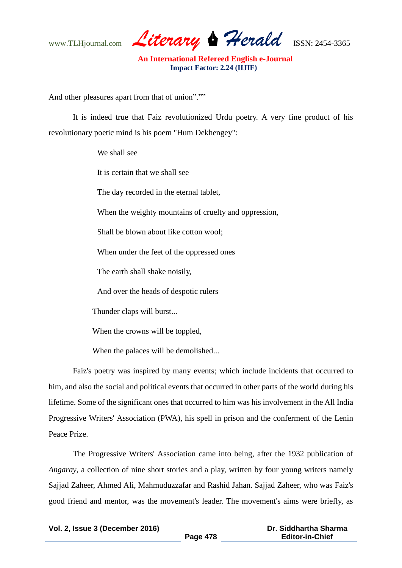www.TLHjournal.com **Literary Herald** ISSN: 2454-3365

And other pleasures apart from that of union".""

It is indeed true that Faiz revolutionized Urdu poetry. A very fine product of his revolutionary poetic mind is his poem "Hum Dekhengey":

We shall see

It is certain that we shall see

The day recorded in the eternal tablet,

When the weighty mountains of cruelty and oppression,

Shall be blown about like cotton wool;

When under the feet of the oppressed ones

The earth shall shake noisily,

And over the heads of despotic rulers

Thunder claps will burst...

When the crowns will be toppled,

When the palaces will be demolished...

Faiz's poetry was inspired by many events; which include incidents that occurred to him, and also the social and political events that occurred in other parts of the world during his lifetime. Some of the significant ones that occurred to him was his involvement in the All India Progressive Writers' Association (PWA), his spell in prison and the conferment of the Lenin Peace Prize.

The Progressive Writers' Association came into being, after the 1932 publication of *Angaray*, a collection of nine short stories and a play, written by four young writers namely Sajjad Zaheer, Ahmed Ali, Mahmuduzzafar and Rashid Jahan. Sajjad Zaheer, who was Faiz's good friend and mentor, was the movement's leader. The movement's aims were briefly, as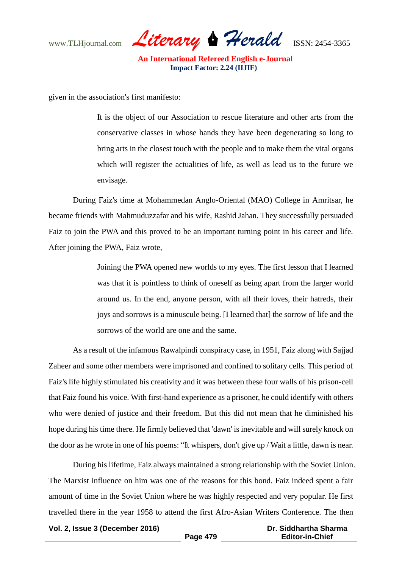www.TLHjournal.com **Literary Herald** ISSN: 2454-3365

given in the association's first manifesto:

It is the object of our Association to rescue literature and other arts from the conservative classes in whose hands they have been degenerating so long to bring arts in the closest touch with the people and to make them the vital organs which will register the actualities of life, as well as lead us to the future we envisage.

During Faiz's time at Mohammedan Anglo-Oriental (MAO) College in Amritsar, he became friends with Mahmuduzzafar and his wife, Rashid Jahan. They successfully persuaded Faiz to join the PWA and this proved to be an important turning point in his career and life. After joining the PWA, Faiz wrote,

> Joining the PWA opened new worlds to my eyes. The first lesson that I learned was that it is pointless to think of oneself as being apart from the larger world around us. In the end, anyone person, with all their loves, their hatreds, their joys and sorrows is a minuscule being. [I learned that] the sorrow of life and the sorrows of the world are one and the same.

As a result of the infamous Rawalpindi conspiracy case, in 1951, Faiz along with Sajjad Zaheer and some other members were imprisoned and confined to solitary cells. This period of Faiz's life highly stimulated his creativity and it was between these four walls of his prison-cell that Faiz found his voice. With first-hand experience as a prisoner, he could identify with others who were denied of justice and their freedom. But this did not mean that he diminished his hope during his time there. He firmly believed that 'dawn' is inevitable and will surely knock on the door as he wrote in one of his poems: "It whispers, don't give up / Wait a little, dawn is near.

During his lifetime, Faiz always maintained a strong relationship with the Soviet Union. The Marxist influence on him was one of the reasons for this bond. Faiz indeed spent a fair amount of time in the Soviet Union where he was highly respected and very popular. He first travelled there in the year 1958 to attend the first Afro-Asian Writers Conference. The then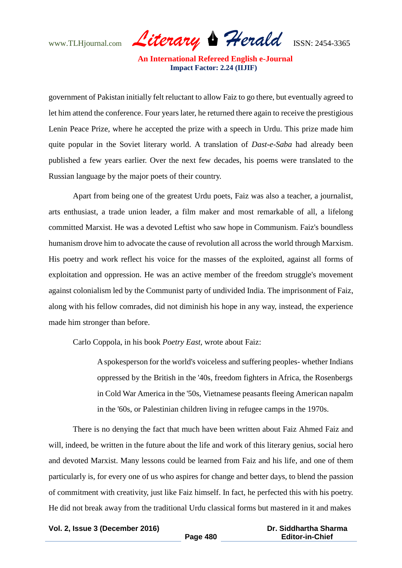www.TLHjournal.com **Literary Herald** ISSN: 2454-3365

government of Pakistan initially felt reluctant to allow Faiz to go there, but eventually agreed to let him attend the conference. Four years later, he returned there again to receive the prestigious Lenin Peace Prize, where he accepted the prize with a speech in Urdu. This prize made him quite popular in the Soviet literary world. A translation of *Dast-e-Saba* had already been published a few years earlier. Over the next few decades, his poems were translated to the Russian language by the major poets of their country.

Apart from being one of the greatest Urdu poets, Faiz was also a teacher, a journalist, arts enthusiast, a trade union leader, a film maker and most remarkable of all, a lifelong committed Marxist. He was a devoted Leftist who saw hope in Communism. Faiz's boundless humanism drove him to advocate the cause of revolution all across the world through Marxism. His poetry and work reflect his voice for the masses of the exploited, against all forms of exploitation and oppression. He was an active member of the freedom struggle's movement against colonialism led by the Communist party of undivided India. The imprisonment of Faiz, along with his fellow comrades, did not diminish his hope in any way, instead, the experience made him stronger than before.

Carlo Coppola, in his book *Poetry East,* wrote about Faiz:

A spokesperson for the world's voiceless and suffering peoples- whether Indians oppressed by the British in the '40s, freedom fighters in Africa, the Rosenbergs in Cold War America in the '50s, Vietnamese peasants fleeing American napalm in the '60s, or Palestinian children living in refugee camps in the 1970s.

There is no denying the fact that much have been written about Faiz Ahmed Faiz and will, indeed, be written in the future about the life and work of this literary genius, social hero and devoted Marxist. Many lessons could be learned from Faiz and his life, and one of them particularly is, for every one of us who aspires for change and better days, to blend the passion of commitment with creativity, just like Faiz himself. In fact, he perfected this with his poetry. He did not break away from the traditional Urdu classical forms but mastered in it and makes